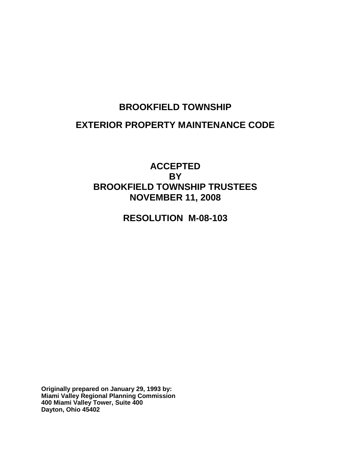# **BROOKFIELD TOWNSHIP EXTERIOR PROPERTY MAINTENANCE CODE**

# **ACCEPTED BY BROOKFIELD TOWNSHIP TRUSTEES NOVEMBER 11, 2008**

**RESOLUTION M-08-103**

**Originally prepared on January 29, 1993 by: Miami Valley Regional Planning Commission 400 Miami Valley Tower, Suite 400 Dayton, Ohio 45402**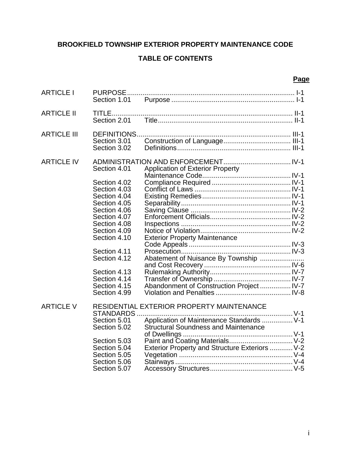# **BROOKFIELD TOWNSHIP EXTERIOR PROPERTY MAINTENANCE CODE**

# **TABLE OF CONTENTS**

#### **Page**

| <b>ARTICLE I</b>   | Section 1.01                                                                                 |                                                                                                                                                                                         |  |
|--------------------|----------------------------------------------------------------------------------------------|-----------------------------------------------------------------------------------------------------------------------------------------------------------------------------------------|--|
| <b>ARTICLE II</b>  | Section 2.01                                                                                 |                                                                                                                                                                                         |  |
| <b>ARTICLE III</b> | DEFINITIONS<br>Section 3.01<br>Section 3.02                                                  |                                                                                                                                                                                         |  |
| <b>ARTICLE IV</b>  | Section 4.01<br>Section 4.02<br>Section 4.03                                                 | <b>Application of Exterior Property</b>                                                                                                                                                 |  |
|                    | Section 4.04<br>Section 4.05<br>Section 4.06<br>Section 4.07<br>Section 4.08<br>Section 4.09 |                                                                                                                                                                                         |  |
|                    | Section 4.10<br>Section 4.11<br>Section 4.12                                                 | <b>Exterior Property Maintenance</b><br>Abatement of Nuisance By Township                                                                                                               |  |
|                    | Section 4.13<br>Section 4.14<br>Section 4.15<br>Section 4.99                                 | Abandonment of Construction Project  IV-7                                                                                                                                               |  |
| <b>ARTICLE V</b>   | STANDARDS.<br>Section 5.01<br>Section 5.02<br>Section 5.03<br>Section 5.04<br>Section 5.05   | RESIDENTIAL EXTERIOR PROPERTY MAINTENANCE<br>Application of Maintenance Standards  V-1<br><b>Structural Soundness and Maintenance</b><br>Exterior Property and Structure Exteriors  V-2 |  |
|                    | Section 5.06<br>Section 5.07                                                                 |                                                                                                                                                                                         |  |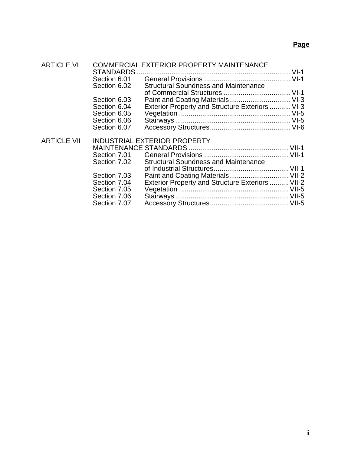# **Page**

| <b>ARTICLE VI</b>  | <b>COMMERCIAL EXTERIOR PROPERTY MAINTENANCE</b> |                                                  |  |  |
|--------------------|-------------------------------------------------|--------------------------------------------------|--|--|
|                    | Section 6.01                                    |                                                  |  |  |
|                    | Section 6.02                                    | <b>Structural Soundness and Maintenance</b>      |  |  |
|                    |                                                 |                                                  |  |  |
|                    | Section 6.03                                    |                                                  |  |  |
|                    | Section 6.04                                    | Exterior Property and Structure Exteriors  VI-3  |  |  |
|                    | Section 6.05                                    |                                                  |  |  |
|                    | Section 6.06                                    |                                                  |  |  |
|                    | Section 6.07                                    |                                                  |  |  |
| <b>ARTICLE VII</b> | <b>INDUSTRIAL EXTERIOR PROPERTY</b>             |                                                  |  |  |
|                    |                                                 |                                                  |  |  |
|                    |                                                 |                                                  |  |  |
|                    | Section 7.02                                    | <b>Structural Soundness and Maintenance</b>      |  |  |
|                    |                                                 |                                                  |  |  |
|                    | Section 7.03                                    | Paint and Coating Materials VII-2                |  |  |
|                    | Section 7.04                                    | Exterior Property and Structure Exteriors  VII-2 |  |  |
|                    | Section 7.05                                    |                                                  |  |  |
|                    | Section 7.06                                    |                                                  |  |  |
|                    | Section 7.07                                    |                                                  |  |  |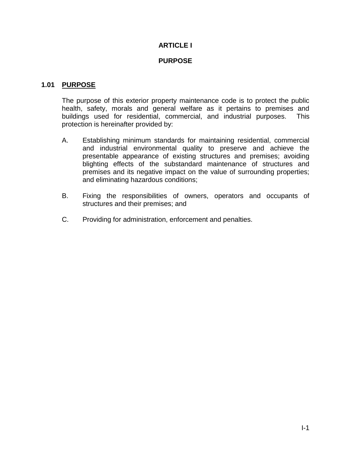# **ARTICLE I**

#### **PURPOSE**

#### **1.01 PURPOSE**

The purpose of this exterior property maintenance code is to protect the public health, safety, morals and general welfare as it pertains to premises and buildings used for residential, commercial, and industrial purposes. This protection is hereinafter provided by:

- A. Establishing minimum standards for maintaining residential, commercial and industrial environmental quality to preserve and achieve the presentable appearance of existing structures and premises; avoiding blighting effects of the substandard maintenance of structures and premises and its negative impact on the value of surrounding properties; and eliminating hazardous conditions;
- B. Fixing the responsibilities of owners, operators and occupants of structures and their premises; and
- C. Providing for administration, enforcement and penalties.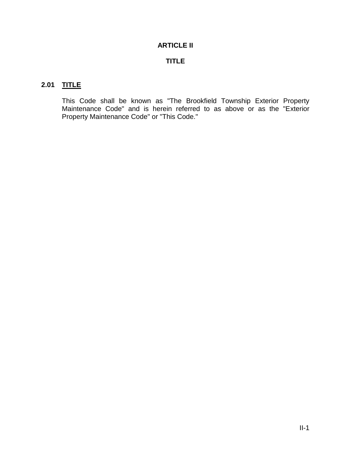# **ARTICLE II**

# **TITLE**

# **2.01 TITLE**

This Code shall be known as "The Brookfield Township Exterior Property Maintenance Code" and is herein referred to as above or as the "Exterior Property Maintenance Code" or "This Code."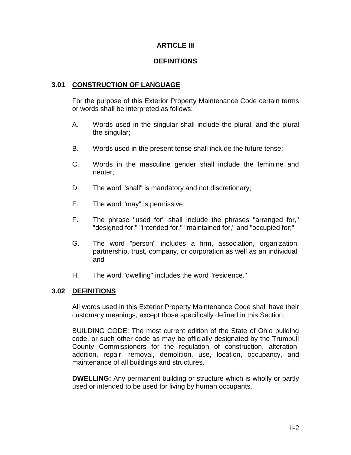#### **ARTICLE III**

#### **DEFINITIONS**

#### **3.01 CONSTRUCTION OF LANGUAGE**

For the purpose of this Exterior Property Maintenance Code certain terms or words shall be interpreted as follows:

- A. Words used in the singular shall include the plural, and the plural the singular;
- B. Words used in the present tense shall include the future tense;
- C. Words in the masculine gender shall include the feminine and neuter;
- D. The word "shall" is mandatory and not discretionary;
- E. The word "may" is permissive;
- F. The phrase "used for" shall include the phrases "arranged for," "designed for," "intended for," "maintained for," and "occupied for;"
- G. The word "person" includes a firm, association, organization, partnership, trust, company, or corporation as well as an individual; and
- H. The word "dwelling" includes the word "residence."

#### **3.02 DEFINITIONS**

All words used in this Exterior Property Maintenance Code shall have their customary meanings, except those specifically defined in this Section.

BUILDING CODE: The most current edition of the State of Ohio building code, or such other code as may be officially designated by the Trumbull County Commissioners for the regulation of construction, alteration, addition, repair, removal, demolition, use, location, occupancy, and maintenance of all buildings and structures.

**DWELLING:** Any permanent building or structure which is wholly or partly used or intended to be used for living by human occupants.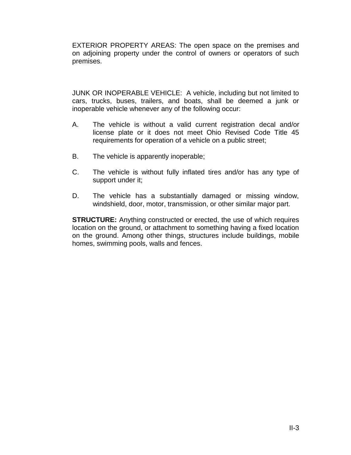EXTERIOR PROPERTY AREAS: The open space on the premises and on adjoining property under the control of owners or operators of such premises.

JUNK OR INOPERABLE VEHICLE: A vehicle, including but not limited to cars, trucks, buses, trailers, and boats, shall be deemed a junk or inoperable vehicle whenever any of the following occur:

- A. The vehicle is without a valid current registration decal and/or license plate or it does not meet Ohio Revised Code Title 45 requirements for operation of a vehicle on a public street;
- B. The vehicle is apparently inoperable;
- C. The vehicle is without fully inflated tires and/or has any type of support under it;
- D. The vehicle has a substantially damaged or missing window, windshield, door, motor, transmission, or other similar major part.

**STRUCTURE:** Anything constructed or erected, the use of which requires location on the ground, or attachment to something having a fixed location on the ground. Among other things, structures include buildings, mobile homes, swimming pools, walls and fences.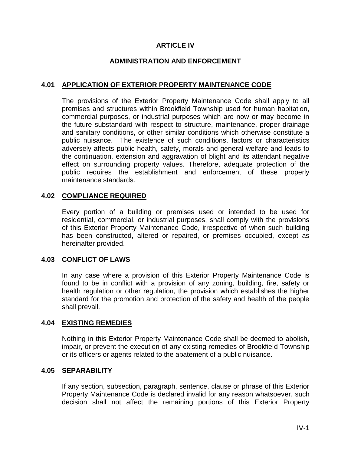#### **ARTICLE IV**

#### **ADMINISTRATION AND ENFORCEMENT**

#### **4.01 APPLICATION OF EXTERIOR PROPERTY MAINTENANCE CODE**

The provisions of the Exterior Property Maintenance Code shall apply to all premises and structures within Brookfield Township used for human habitation, commercial purposes, or industrial purposes which are now or may become in the future substandard with respect to structure, maintenance, proper drainage and sanitary conditions, or other similar conditions which otherwise constitute a public nuisance. The existence of such conditions, factors or characteristics adversely affects public health, safety, morals and general welfare and leads to the continuation, extension and aggravation of blight and its attendant negative effect on surrounding property values. Therefore, adequate protection of the public requires the establishment and enforcement of these properly maintenance standards.

#### **4.02 COMPLIANCE REQUIRED**

Every portion of a building or premises used or intended to be used for residential, commercial, or industrial purposes, shall comply with the provisions of this Exterior Property Maintenance Code, irrespective of when such building has been constructed, altered or repaired, or premises occupied, except as hereinafter provided.

#### **4.03 CONFLICT OF LAWS**

In any case where a provision of this Exterior Property Maintenance Code is found to be in conflict with a provision of any zoning, building, fire, safety or health regulation or other regulation, the provision which establishes the higher standard for the promotion and protection of the safety and health of the people shall prevail.

#### **4.04 EXISTING REMEDIES**

Nothing in this Exterior Property Maintenance Code shall be deemed to abolish, impair, or prevent the execution of any existing remedies of Brookfield Township or its officers or agents related to the abatement of a public nuisance.

#### **4.05 SEPARABILITY**

If any section, subsection, paragraph, sentence, clause or phrase of this Exterior Property Maintenance Code is declared invalid for any reason whatsoever, such decision shall not affect the remaining portions of this Exterior Property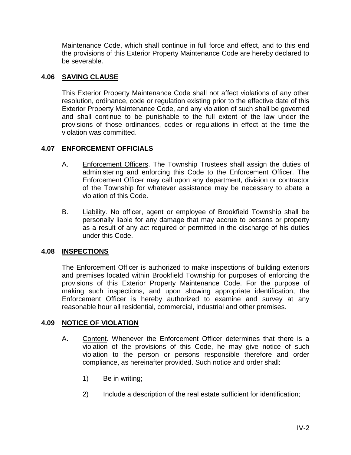Maintenance Code, which shall continue in full force and effect, and to this end the provisions of this Exterior Property Maintenance Code are hereby declared to be severable.

# **4.06 SAVING CLAUSE**

This Exterior Property Maintenance Code shall not affect violations of any other resolution, ordinance, code or regulation existing prior to the effective date of this Exterior Property Maintenance Code, and any violation of such shall be governed and shall continue to be punishable to the full extent of the law under the provisions of those ordinances, codes or regulations in effect at the time the violation was committed.

# **4.07 ENFORCEMENT OFFICIALS**

- A. Enforcement Officers. The Township Trustees shall assign the duties of administering and enforcing this Code to the Enforcement Officer. The Enforcement Officer may call upon any department, division or contractor of the Township for whatever assistance may be necessary to abate a violation of this Code.
- B. Liability. No officer, agent or employee of Brookfield Township shall be personally liable for any damage that may accrue to persons or property as a result of any act required or permitted in the discharge of his duties under this Code.

#### **4.08 INSPECTIONS**

The Enforcement Officer is authorized to make inspections of building exteriors and premises located within Brookfield Township for purposes of enforcing the provisions of this Exterior Property Maintenance Code. For the purpose of making such inspections, and upon showing appropriate identification, the Enforcement Officer is hereby authorized to examine and survey at any reasonable hour all residential, commercial, industrial and other premises.

#### **4.09 NOTICE OF VIOLATION**

- A. Content. Whenever the Enforcement Officer determines that there is a violation of the provisions of this Code, he may give notice of such violation to the person or persons responsible therefore and order compliance, as hereinafter provided. Such notice and order shall:
	- 1) Be in writing;
	- 2) Include a description of the real estate sufficient for identification;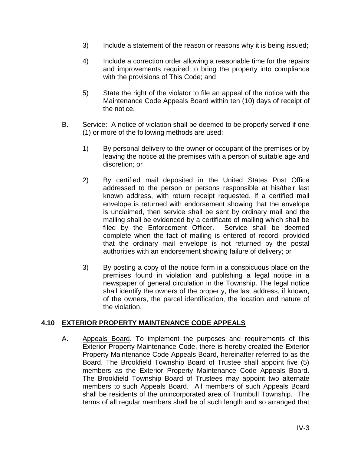- 3) Include a statement of the reason or reasons why it is being issued;
- 4) Include a correction order allowing a reasonable time for the repairs and improvements required to bring the property into compliance with the provisions of This Code; and
- 5) State the right of the violator to file an appeal of the notice with the Maintenance Code Appeals Board within ten (10) days of receipt of the notice.
- B. Service: A notice of violation shall be deemed to be properly served if one (1) or more of the following methods are used:
	- 1) By personal delivery to the owner or occupant of the premises or by leaving the notice at the premises with a person of suitable age and discretion; or
	- 2) By certified mail deposited in the United States Post Office addressed to the person or persons responsible at his/their last known address, with return receipt requested. If a certified mail envelope is returned with endorsement showing that the envelope is unclaimed, then service shall be sent by ordinary mail and the mailing shall be evidenced by a certificate of mailing which shall be filed by the Enforcement Officer. Service shall be deemed filed by the Enforcement Officer. complete when the fact of mailing is entered of record, provided that the ordinary mail envelope is not returned by the postal authorities with an endorsement showing failure of delivery; or
	- 3) By posting a copy of the notice form in a conspicuous place on the premises found in violation and publishing a legal notice in a newspaper of general circulation in the Township. The legal notice shall identify the owners of the property, the last address, if known, of the owners, the parcel identification, the location and nature of the violation.

#### **4.10 EXTERIOR PROPERTY MAINTENANCE CODE APPEALS**

A. Appeals Board. To implement the purposes and requirements of this Exterior Property Maintenance Code, there is hereby created the Exterior Property Maintenance Code Appeals Board, hereinafter referred to as the Board. The Brookfield Township Board of Trustee shall appoint five (5) members as the Exterior Property Maintenance Code Appeals Board. The Brookfield Township Board of Trustees may appoint two alternate members to such Appeals Board. All members of such Appeals Board shall be residents of the unincorporated area of Trumbull Township. The terms of all regular members shall be of such length and so arranged that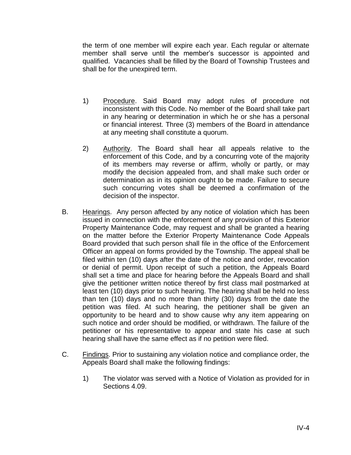the term of one member will expire each year. Each regular or alternate member shall serve until the member's successor is appointed and qualified. Vacancies shall be filled by the Board of Township Trustees and shall be for the unexpired term.

- 1) Procedure. Said Board may adopt rules of procedure not inconsistent with this Code. No member of the Board shall take part in any hearing or determination in which he or she has a personal or financial interest. Three (3) members of the Board in attendance at any meeting shall constitute a quorum.
- 2) Authority. The Board shall hear all appeals relative to the enforcement of this Code, and by a concurring vote of the majority of its members may reverse or affirm, wholly or partly, or may modify the decision appealed from, and shall make such order or determination as in its opinion ought to be made. Failure to secure such concurring votes shall be deemed a confirmation of the decision of the inspector.
- B. Hearings. Any person affected by any notice of violation which has been issued in connection with the enforcement of any provision of this Exterior Property Maintenance Code, may request and shall be granted a hearing on the matter before the Exterior Property Maintenance Code Appeals Board provided that such person shall file in the office of the Enforcement Officer an appeal on forms provided by the Township. The appeal shall be filed within ten (10) days after the date of the notice and order, revocation or denial of permit. Upon receipt of such a petition, the Appeals Board shall set a time and place for hearing before the Appeals Board and shall give the petitioner written notice thereof by first class mail postmarked at least ten (10) days prior to such hearing. The hearing shall be held no less than ten (10) days and no more than thirty (30) days from the date the petition was filed. At such hearing, the petitioner shall be given an opportunity to be heard and to show cause why any item appearing on such notice and order should be modified, or withdrawn. The failure of the petitioner or his representative to appear and state his case at such hearing shall have the same effect as if no petition were filed.
- C. Findings. Prior to sustaining any violation notice and compliance order, the Appeals Board shall make the following findings:
	- 1) The violator was served with a Notice of Violation as provided for in Sections 4.09.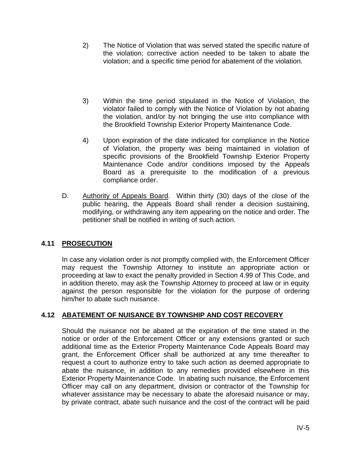- 2) The Notice of Violation that was served stated the specific nature of the violation; corrective action needed to be taken to abate the violation; and a specific time period for abatement of the violation.
- 3) Within the time period stipulated in the Notice of Violation, the violator failed to comply with the Notice of Violation by not abating the violation, and/or by not bringing the use into compliance with the Brookfield Township Exterior Property Maintenance Code.
- 4) Upon expiration of the date indicated for compliance in the Notice of Violation, the property was being maintained in violation of specific provisions of the Brookfield Township Exterior Property Maintenance Code and/or conditions imposed by the Appeals Board as a prerequisite to the modification of a previous compliance order.
- D. Authority of Appeals Board. Within thirty (30) days of the close of the public hearing, the Appeals Board shall render a decision sustaining, modifying, or withdrawing any item appearing on the notice and order. The petitioner shall be notified in writing of such action.

# **4.11 PROSECUTION**

In case any violation order is not promptly complied with, the Enforcement Officer may request the Township Attorney to institute an appropriate action or proceeding at law to exact the penalty provided in Section 4.99 of This Code, and in addition thereto, may ask the Township Attorney to proceed at law or in equity against the person responsible for the violation for the purpose of ordering him/her to abate such nuisance.

# **4.12 ABATEMENT OF NUISANCE BY TOWNSHIP AND COST RECOVERY**

Should the nuisance not be abated at the expiration of the time stated in the notice or order of the Enforcement Officer or any extensions granted or such additional time as the Exterior Property Maintenance Code Appeals Board may grant, the Enforcement Officer shall be authorized at any time thereafter to request a court to authorize entry to take such action as deemed appropriate to abate the nuisance, in addition to any remedies provided elsewhere in this Exterior Property Maintenance Code. In abating such nuisance, the Enforcement Officer may call on any department, division or contractor of the Township for whatever assistance may be necessary to abate the aforesaid nuisance or may, by private contract, abate such nuisance and the cost of the contract will be paid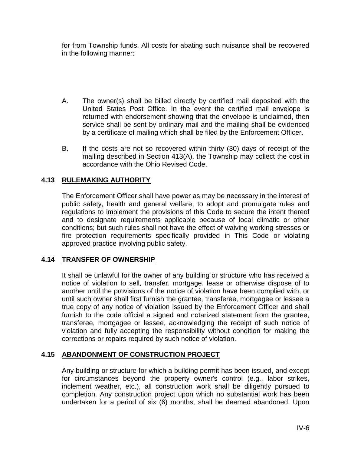for from Township funds. All costs for abating such nuisance shall be recovered in the following manner:

- A. The owner(s) shall be billed directly by certified mail deposited with the United States Post Office. In the event the certified mail envelope is returned with endorsement showing that the envelope is unclaimed, then service shall be sent by ordinary mail and the mailing shall be evidenced by a certificate of mailing which shall be filed by the Enforcement Officer.
- B. If the costs are not so recovered within thirty (30) days of receipt of the mailing described in Section 413(A), the Township may collect the cost in accordance with the Ohio Revised Code.

# **4.13 RULEMAKING AUTHORITY**

The Enforcement Officer shall have power as may be necessary in the interest of public safety, health and general welfare, to adopt and promulgate rules and regulations to implement the provisions of this Code to secure the intent thereof and to designate requirements applicable because of local climatic or other conditions; but such rules shall not have the effect of waiving working stresses or fire protection requirements specifically provided in This Code or violating approved practice involving public safety.

# **4.14 TRANSFER OF OWNERSHIP**

It shall be unlawful for the owner of any building or structure who has received a notice of violation to sell, transfer, mortgage, lease or otherwise dispose of to another until the provisions of the notice of violation have been complied with, or until such owner shall first furnish the grantee, transferee, mortgagee or lessee a true copy of any notice of violation issued by the Enforcement Officer and shall furnish to the code official a signed and notarized statement from the grantee, transferee, mortgagee or lessee, acknowledging the receipt of such notice of violation and fully accepting the responsibility without condition for making the corrections or repairs required by such notice of violation.

# **4.15 ABANDONMENT OF CONSTRUCTION PROJECT**

Any building or structure for which a building permit has been issued, and except for circumstances beyond the property owner's control (e.g., labor strikes, inclement weather, etc.), all construction work shall be diligently pursued to completion. Any construction project upon which no substantial work has been undertaken for a period of six (6) months, shall be deemed abandoned. Upon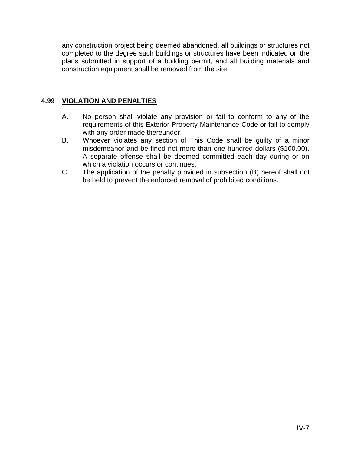any construction project being deemed abandoned, all buildings or structures not completed to the degree such buildings or structures have been indicated on the plans submitted in support of a building permit, and all building materials and construction equipment shall be removed from the site.

# **4.99 VIOLATION AND PENALTIES**

- A. No person shall violate any provision or fail to conform to any of the requirements of this Exterior Property Maintenance Code or fail to comply with any order made thereunder.
- B. Whoever violates any section of This Code shall be guilty of a minor misdemeanor and be fined not more than one hundred dollars (\$100.00). A separate offense shall be deemed committed each day during or on which a violation occurs or continues.
- C. The application of the penalty provided in subsection (B) hereof shall not be held to prevent the enforced removal of prohibited conditions.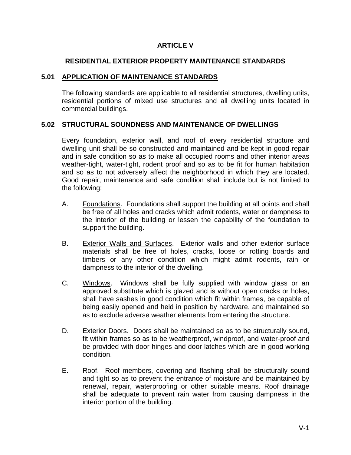# **ARTICLE V**

## **RESIDENTIAL EXTERIOR PROPERTY MAINTENANCE STANDARDS**

#### **5.01 APPLICATION OF MAINTENANCE STANDARDS**

The following standards are applicable to all residential structures, dwelling units, residential portions of mixed use structures and all dwelling units located in commercial buildings.

## **5.02 STRUCTURAL SOUNDNESS AND MAINTENANCE OF DWELLINGS**

Every foundation, exterior wall, and roof of every residential structure and dwelling unit shall be so constructed and maintained and be kept in good repair and in safe condition so as to make all occupied rooms and other interior areas weather-tight, water-tight, rodent proof and so as to be fit for human habitation and so as to not adversely affect the neighborhood in which they are located. Good repair, maintenance and safe condition shall include but is not limited to the following:

- A. Foundations. Foundations shall support the building at all points and shall be free of all holes and cracks which admit rodents, water or dampness to the interior of the building or lessen the capability of the foundation to support the building.
- B. Exterior Walls and Surfaces. Exterior walls and other exterior surface materials shall be free of holes, cracks, loose or rotting boards and timbers or any other condition which might admit rodents, rain or dampness to the interior of the dwelling.
- C. Windows. Windows shall be fully supplied with window glass or an approved substitute which is glazed and is without open cracks or holes, shall have sashes in good condition which fit within frames, be capable of being easily opened and held in position by hardware, and maintained so as to exclude adverse weather elements from entering the structure.
- D. Exterior Doors. Doors shall be maintained so as to be structurally sound, fit within frames so as to be weatherproof, windproof, and water-proof and be provided with door hinges and door latches which are in good working condition.
- E. Roof. Roof members, covering and flashing shall be structurally sound and tight so as to prevent the entrance of moisture and be maintained by renewal, repair, waterproofing or other suitable means. Roof drainage shall be adequate to prevent rain water from causing dampness in the interior portion of the building.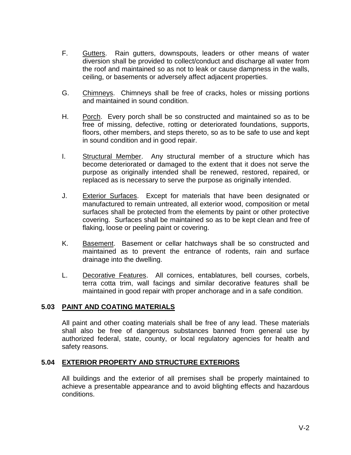- F. Gutters. Rain gutters, downspouts, leaders or other means of water diversion shall be provided to collect/conduct and discharge all water from the roof and maintained so as not to leak or cause dampness in the walls, ceiling, or basements or adversely affect adjacent properties.
- G. Chimneys. Chimneys shall be free of cracks, holes or missing portions and maintained in sound condition.
- H. Porch. Every porch shall be so constructed and maintained so as to be free of missing, defective, rotting or deteriorated foundations, supports, floors, other members, and steps thereto, so as to be safe to use and kept in sound condition and in good repair.
- I. Structural Member. Any structural member of a structure which has become deteriorated or damaged to the extent that it does not serve the purpose as originally intended shall be renewed, restored, repaired, or replaced as is necessary to serve the purpose as originally intended.
- J. Exterior Surfaces. Except for materials that have been designated or manufactured to remain untreated, all exterior wood, composition or metal surfaces shall be protected from the elements by paint or other protective covering. Surfaces shall be maintained so as to be kept clean and free of flaking, loose or peeling paint or covering.
- K. Basement. Basement or cellar hatchways shall be so constructed and maintained as to prevent the entrance of rodents, rain and surface drainage into the dwelling.
- L. Decorative Features. All cornices, entablatures, bell courses, corbels, terra cotta trim, wall facings and similar decorative features shall be maintained in good repair with proper anchorage and in a safe condition.

#### **5.03 PAINT AND COATING MATERIALS**

All paint and other coating materials shall be free of any lead. These materials shall also be free of dangerous substances banned from general use by authorized federal, state, county, or local regulatory agencies for health and safety reasons.

#### **5.04 EXTERIOR PROPERTY AND STRUCTURE EXTERIORS**

All buildings and the exterior of all premises shall be properly maintained to achieve a presentable appearance and to avoid blighting effects and hazardous conditions.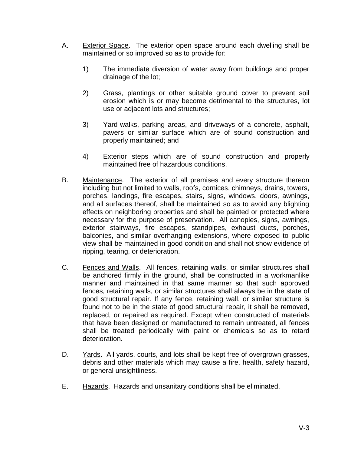- A. Exterior Space. The exterior open space around each dwelling shall be maintained or so improved so as to provide for:
	- 1) The immediate diversion of water away from buildings and proper drainage of the lot;
	- 2) Grass, plantings or other suitable ground cover to prevent soil erosion which is or may become detrimental to the structures, lot use or adjacent lots and structures;
	- 3) Yard-walks, parking areas, and driveways of a concrete, asphalt, pavers or similar surface which are of sound construction and properly maintained; and
	- 4) Exterior steps which are of sound construction and properly maintained free of hazardous conditions.
- B. Maintenance. The exterior of all premises and every structure thereon including but not limited to walls, roofs, cornices, chimneys, drains, towers, porches, landings, fire escapes, stairs, signs, windows, doors, awnings, and all surfaces thereof, shall be maintained so as to avoid any blighting effects on neighboring properties and shall be painted or protected where necessary for the purpose of preservation. All canopies, signs, awnings, exterior stairways, fire escapes, standpipes, exhaust ducts, porches, balconies, and similar overhanging extensions, where exposed to public view shall be maintained in good condition and shall not show evidence of ripping, tearing, or deterioration.
- C. Fences and Walls. All fences, retaining walls, or similar structures shall be anchored firmly in the ground, shall be constructed in a workmanlike manner and maintained in that same manner so that such approved fences, retaining walls, or similar structures shall always be in the state of good structural repair. If any fence, retaining wall, or similar structure is found not to be in the state of good structural repair, it shall be removed, replaced, or repaired as required. Except when constructed of materials that have been designed or manufactured to remain untreated, all fences shall be treated periodically with paint or chemicals so as to retard deterioration.
- D. Yards. All yards, courts, and lots shall be kept free of overgrown grasses, debris and other materials which may cause a fire, health, safety hazard, or general unsightliness.
- E. Hazards. Hazards and unsanitary conditions shall be eliminated.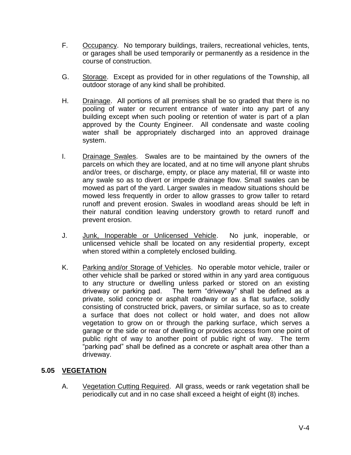- F. Occupancy. No temporary buildings, trailers, recreational vehicles, tents, or garages shall be used temporarily or permanently as a residence in the course of construction.
- G. Storage. Except as provided for in other regulations of the Township, all outdoor storage of any kind shall be prohibited.
- H. Drainage. All portions of all premises shall be so graded that there is no pooling of water or recurrent entrance of water into any part of any building except when such pooling or retention of water is part of a plan approved by the County Engineer. All condensate and waste cooling water shall be appropriately discharged into an approved drainage system.
- I. Drainage Swales. Swales are to be maintained by the owners of the parcels on which they are located, and at no time will anyone plant shrubs and/or trees, or discharge, empty, or place any material, fill or waste into any swale so as to divert or impede drainage flow. Small swales can be mowed as part of the yard. Larger swales in meadow situations should be mowed less frequently in order to allow grasses to grow taller to retard runoff and prevent erosion. Swales in woodland areas should be left in their natural condition leaving understory growth to retard runoff and prevent erosion.
- J. Junk, Inoperable or Unlicensed Vehicle. No junk, inoperable, or unlicensed vehicle shall be located on any residential property, except when stored within a completely enclosed building.
- K. Parking and/or Storage of Vehicles. No operable motor vehicle, trailer or other vehicle shall be parked or stored within in any yard area contiguous to any structure or dwelling unless parked or stored on an existing driveway or parking pad. The term "driveway" shall be defined as a private, solid concrete or asphalt roadway or as a flat surface, solidly consisting of constructed brick, pavers, or similar surface, so as to create a surface that does not collect or hold water, and does not allow vegetation to grow on or through the parking surface, which serves a garage or the side or rear of dwelling or provides access from one point of public right of way to another point of public right of way. The term "parking pad" shall be defined as a concrete or asphalt area other than a driveway.

# **5.05 VEGETATION**

A. Vegetation Cutting Required. All grass, weeds or rank vegetation shall be periodically cut and in no case shall exceed a height of eight (8) inches.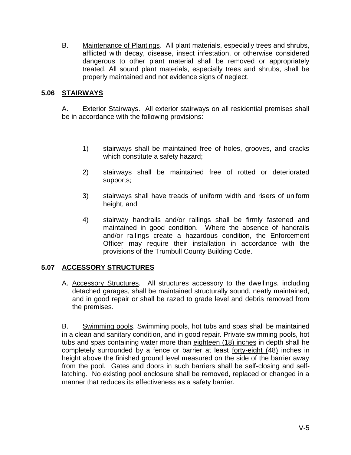B. Maintenance of Plantings. All plant materials, especially trees and shrubs, afflicted with decay, disease, insect infestation, or otherwise considered dangerous to other plant material shall be removed or appropriately treated. All sound plant materials, especially trees and shrubs, shall be properly maintained and not evidence signs of neglect.

# **5.06 STAIRWAYS**

A. Exterior Stairways. All exterior stairways on all residential premises shall be in accordance with the following provisions:

- 1) stairways shall be maintained free of holes, grooves, and cracks which constitute a safety hazard;
- 2) stairways shall be maintained free of rotted or deteriorated supports;
- 3) stairways shall have treads of uniform width and risers of uniform height, and
- 4) stairway handrails and/or railings shall be firmly fastened and maintained in good condition. Where the absence of handrails and/or railings create a hazardous condition, the Enforcement Officer may require their installation in accordance with the provisions of the Trumbull County Building Code.

# **5.07 ACCESSORY STRUCTURES**

A. Accessory Structures. All structures accessory to the dwellings, including detached garages, shall be maintained structurally sound, neatly maintained, and in good repair or shall be razed to grade level and debris removed from the premises.

B. Swimming pools. Swimming pools, hot tubs and spas shall be maintained in a clean and sanitary condition, and in good repair. Private swimming pools, hot tubs and spas containing water more than eighteen (18) inches in depth shall he completely surrounded by a fence or barrier at least forty-eight (48) inches-in height above the finished ground level measured on the side of the barrier away from the pool. Gates and doors in such barriers shall be self-closing and selflatching. No existing pool enclosure shall be removed, replaced or changed in a manner that reduces its effectiveness as a safety barrier.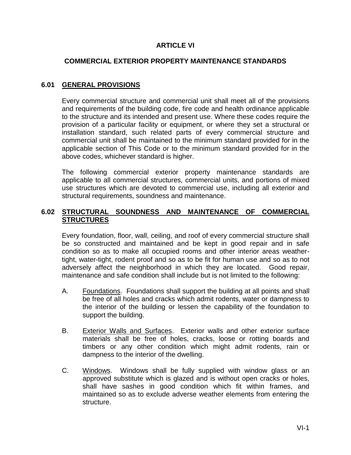# **ARTICLE VI**

#### **COMMERCIAL EXTERIOR PROPERTY MAINTENANCE STANDARDS**

# **6.01 GENERAL PROVISIONS**

Every commercial structure and commercial unit shall meet all of the provisions and requirements of the building code, fire code and health ordinance applicable to the structure and its intended and present use. Where these codes require the provision of a particular facility or equipment, or where they set a structural or installation standard, such related parts of every commercial structure and commercial unit shall be maintained to the minimum standard provided for in the applicable section of This Code or to the minimum standard provided for in the above codes, whichever standard is higher.

The following commercial exterior property maintenance standards are applicable to all commercial structures, commercial units, and portions of mixed use structures which are devoted to commercial use, including all exterior and structural requirements, soundness and maintenance.

## **6.02 STRUCTURAL SOUNDNESS AND MAINTENANCE OF COMMERCIAL STRUCTURES**

Every foundation, floor, wall, ceiling, and roof of every commercial structure shall be so constructed and maintained and be kept in good repair and in safe condition so as to make all occupied rooms and other interior areas weathertight, water-tight, rodent proof and so as to be fit for human use and so as to not adversely affect the neighborhood in which they are located. Good repair, maintenance and safe condition shall include but is not limited to the following:

- A. Foundations. Foundations shall support the building at all points and shall be free of all holes and cracks which admit rodents, water or dampness to the interior of the building or lessen the capability of the foundation to support the building.
- B. Exterior Walls and Surfaces. Exterior walls and other exterior surface materials shall be free of holes, cracks, loose or rotting boards and timbers or any other condition which might admit rodents, rain or dampness to the interior of the dwelling.
- C. Windows. Windows shall be fully supplied with window glass or an approved substitute which is glazed and is without open cracks or holes, shall have sashes in good condition which fit within frames, and maintained so as to exclude adverse weather elements from entering the structure.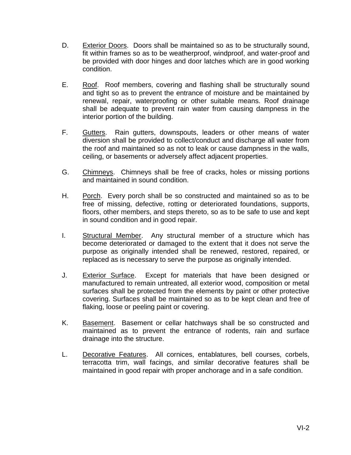- D. Exterior Doors. Doors shall be maintained so as to be structurally sound, fit within frames so as to be weatherproof, windproof, and water-proof and be provided with door hinges and door latches which are in good working condition.
- E. Roof. Roof members, covering and flashing shall be structurally sound and tight so as to prevent the entrance of moisture and be maintained by renewal, repair, waterproofing or other suitable means. Roof drainage shall be adequate to prevent rain water from causing dampness in the interior portion of the building.
- F. Gutters. Rain gutters, downspouts, leaders or other means of water diversion shall be provided to collect/conduct and discharge all water from the roof and maintained so as not to leak or cause dampness in the walls, ceiling, or basements or adversely affect adjacent properties.
- G. Chimneys. Chimneys shall be free of cracks, holes or missing portions and maintained in sound condition.
- H. Porch. Every porch shall be so constructed and maintained so as to be free of missing, defective, rotting or deteriorated foundations, supports, floors, other members, and steps thereto, so as to be safe to use and kept in sound condition and in good repair.
- I. Structural Member. Any structural member of a structure which has become deteriorated or damaged to the extent that it does not serve the purpose as originally intended shall be renewed, restored, repaired, or replaced as is necessary to serve the purpose as originally intended.
- J. Exterior Surface. Except for materials that have been designed or manufactured to remain untreated, all exterior wood, composition or metal surfaces shall be protected from the elements by paint or other protective covering. Surfaces shall be maintained so as to be kept clean and free of flaking, loose or peeling paint or covering.
- K. Basement. Basement or cellar hatchways shall be so constructed and maintained as to prevent the entrance of rodents, rain and surface drainage into the structure.
- L. Decorative Features. All cornices, entablatures, bell courses, corbels, terracotta trim, wall facings, and similar decorative features shall be maintained in good repair with proper anchorage and in a safe condition.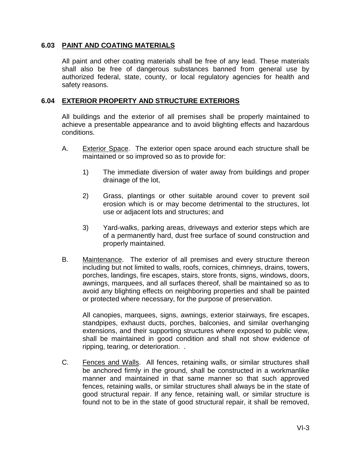#### **6.03 PAINT AND COATING MATERIALS**

All paint and other coating materials shall be free of any lead. These materials shall also be free of dangerous substances banned from general use by authorized federal, state, county, or local regulatory agencies for health and safety reasons.

#### **6.04 EXTERIOR PROPERTY AND STRUCTURE EXTERIORS**

All buildings and the exterior of all premises shall be properly maintained to achieve a presentable appearance and to avoid blighting effects and hazardous conditions.

- A. Exterior Space. The exterior open space around each structure shall be maintained or so improved so as to provide for:
	- 1) The immediate diversion of water away from buildings and proper drainage of the lot,
	- 2) Grass, plantings or other suitable around cover to prevent soil erosion which is or may become detrimental to the structures, lot use or adjacent lots and structures; and
	- 3) Yard-walks, parking areas, driveways and exterior steps which are of a permanently hard, dust free surface of sound construction and properly maintained.
- B. Maintenance. The exterior of all premises and every structure thereon including but not limited to walls, roofs, cornices, chimneys, drains, towers, porches, landings, fire escapes, stairs, store fronts, signs, windows, doors, awnings, marquees, and all surfaces thereof, shall be maintained so as to avoid any blighting effects on neighboring properties and shall be painted or protected where necessary, for the purpose of preservation.

All canopies, marquees, signs, awnings, exterior stairways, fire escapes, standpipes, exhaust ducts, porches, balconies, and similar overhanging extensions, and their supporting structures where exposed to public view, shall be maintained in good condition and shall not show evidence of ripping, tearing, or deterioration. .

C. Fences and Walls. All fences, retaining walls, or similar structures shall be anchored firmly in the ground, shall be constructed in a workmanlike manner and maintained in that same manner so that such approved fences, retaining walls, or similar structures shall always be in the state of good structural repair. If any fence, retaining wall, or similar structure is found not to be in the state of good structural repair, it shall be removed,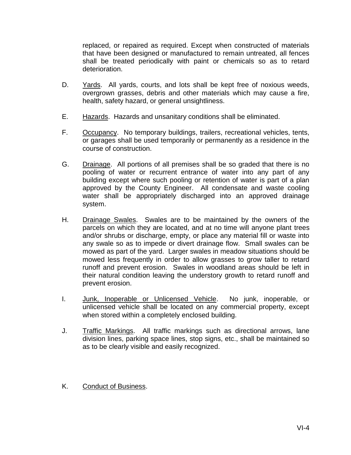replaced, or repaired as required. Except when constructed of materials that have been designed or manufactured to remain untreated, all fences shall be treated periodically with paint or chemicals so as to retard deterioration.

- D. Yards. All yards, courts, and lots shall be kept free of noxious weeds, overgrown grasses, debris and other materials which may cause a fire, health, safety hazard, or general unsightliness.
- E. Hazards. Hazards and unsanitary conditions shall be eliminated.
- F. Occupancy. No temporary buildings, trailers, recreational vehicles, tents, or garages shall be used temporarily or permanently as a residence in the course of construction.
- G. Drainage. All portions of all premises shall be so graded that there is no pooling of water or recurrent entrance of water into any part of any building except where such pooling or retention of water is part of a plan approved by the County Engineer. All condensate and waste cooling water shall be appropriately discharged into an approved drainage system.
- H. Drainage Swales. Swales are to be maintained by the owners of the parcels on which they are located, and at no time will anyone plant trees and/or shrubs or discharge, empty, or place any material fill or waste into any swale so as to impede or divert drainage flow. Small swales can be mowed as part of the yard. Larger swales in meadow situations should be mowed less frequently in order to allow grasses to grow taller to retard runoff and prevent erosion. Swales in woodland areas should be left in their natural condition leaving the understory growth to retard runoff and prevent erosion.
- I. Junk, Inoperable or Unlicensed Vehicle. No junk, inoperable, or unlicensed vehicle shall be located on any commercial property, except when stored within a completely enclosed building.
- J. Traffic Markings. All traffic markings such as directional arrows, lane division lines, parking space lines, stop signs, etc., shall be maintained so as to be clearly visible and easily recognized.
- K. Conduct of Business.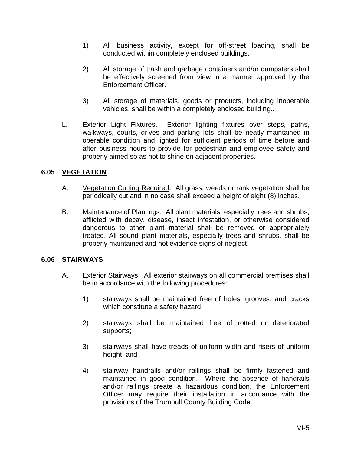- 1) All business activity, except for off-street loading, shall be conducted within completely enclosed buildings.
- 2) All storage of trash and garbage containers and/or dumpsters shall be effectively screened from view in a manner approved by the Enforcement Officer.
- 3) All storage of materials, goods or products, including inoperable vehicles, shall be within a completely enclosed building..
- L. Exterior Light Fixtures. Exterior lighting fixtures over steps, paths, walkways, courts, drives and parking lots shall be neatly maintained in operable condition and lighted for sufficient periods of time before and after business hours to provide for pedestrian and employee safety and properly aimed so as not to shine on adjacent properties.

# **6.05 VEGETATION**

- A. Vegetation Cutting Required. All grass, weeds or rank vegetation shall be periodically cut and in no case shall exceed a height of eight (8) inches.
- B. Maintenance of Plantings. All plant materials, especially trees and shrubs, afflicted with decay, disease, insect infestation, or otherwise considered dangerous to other plant material shall be removed or appropriately treated. All sound plant materials, especially trees and shrubs, shall be properly maintained and not evidence signs of neglect.

# **6.06 STAIRWAYS**

- A. Exterior Stairways. All exterior stairways on all commercial premises shall be in accordance with the following procedures:
	- 1) stairways shall be maintained free of holes, grooves, and cracks which constitute a safety hazard;
	- 2) stairways shall be maintained free of rotted or deteriorated supports;
	- 3) stairways shall have treads of uniform width and risers of uniform height; and
	- 4) stairway handrails and/or railings shall be firmly fastened and maintained in good condition. Where the absence of handrails and/or railings create a hazardous condition, the Enforcement Officer may require their installation in accordance with the provisions of the Trumbull County Building Code.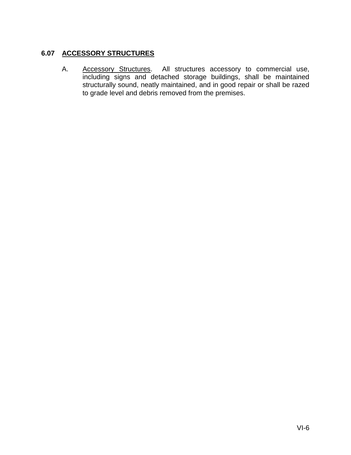# **6.07 ACCESSORY STRUCTURES**

A. Accessory Structures. All structures accessory to commercial use, including signs and detached storage buildings, shall be maintained structurally sound, neatly maintained, and in good repair or shall be razed to grade level and debris removed from the premises.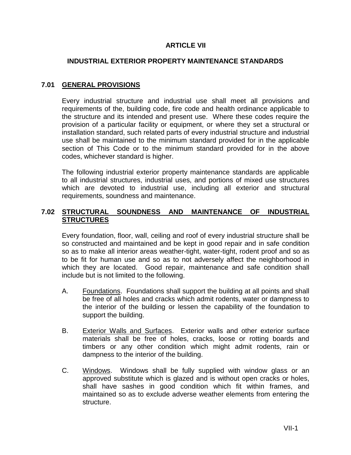# **ARTICLE VII**

#### **INDUSTRIAL EXTERIOR PROPERTY MAINTENANCE STANDARDS**

# **7.01 GENERAL PROVISIONS**

Every industrial structure and industrial use shall meet all provisions and requirements of the, building code, fire code and health ordinance applicable to the structure and its intended and present use. Where these codes require the provision of a particular facility or equipment, or where they set a structural or installation standard, such related parts of every industrial structure and industrial use shall be maintained to the minimum standard provided for in the applicable section of This Code or to the minimum standard provided for in the above codes, whichever standard is higher.

The following industrial exterior property maintenance standards are applicable to all industrial structures, industrial uses, and portions of mixed use structures which are devoted to industrial use, including all exterior and structural requirements, soundness and maintenance.

## **7.02 STRUCTURAL SOUNDNESS AND MAINTENANCE OF INDUSTRIAL STRUCTURES**

Every foundation, floor, wall, ceiling and roof of every industrial structure shall be so constructed and maintained and be kept in good repair and in safe condition so as to make all interior areas weather-tight, water-tight, rodent proof and so as to be fit for human use and so as to not adversely affect the neighborhood in which they are located. Good repair, maintenance and safe condition shall include but is not limited to the following.

- A. Foundations. Foundations shall support the building at all points and shall be free of all holes and cracks which admit rodents, water or dampness to the interior of the building or lessen the capability of the foundation to support the building.
- B. Exterior Walls and Surfaces. Exterior walls and other exterior surface materials shall be free of holes, cracks, loose or rotting boards and timbers or any other condition which might admit rodents, rain or dampness to the interior of the building.
- C. Windows. Windows shall be fully supplied with window glass or an approved substitute which is glazed and is without open cracks or holes, shall have sashes in good condition which fit within frames, and maintained so as to exclude adverse weather elements from entering the structure.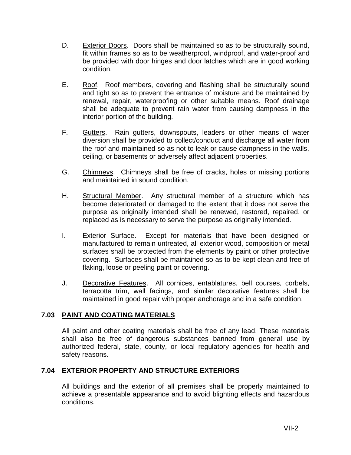- D. Exterior Doors. Doors shall be maintained so as to be structurally sound, fit within frames so as to be weatherproof, windproof, and water-proof and be provided with door hinges and door latches which are in good working condition.
- E. Roof. Roof members, covering and flashing shall be structurally sound and tight so as to prevent the entrance of moisture and be maintained by renewal, repair, waterproofing or other suitable means. Roof drainage shall be adequate to prevent rain water from causing dampness in the interior portion of the building.
- F. Gutters. Rain gutters, downspouts, leaders or other means of water diversion shall be provided to collect/conduct and discharge all water from the roof and maintained so as not to leak or cause dampness in the walls, ceiling, or basements or adversely affect adjacent properties.
- G. Chimneys. Chimneys shall be free of cracks, holes or missing portions and maintained in sound condition.
- H. Structural Member. Any structural member of a structure which has become deteriorated or damaged to the extent that it does not serve the purpose as originally intended shall be renewed, restored, repaired, or replaced as is necessary to serve the purpose as originally intended.
- I. Exterior Surface. Except for materials that have been designed or manufactured to remain untreated, all exterior wood, composition or metal surfaces shall be protected from the elements by paint or other protective covering. Surfaces shall be maintained so as to be kept clean and free of flaking, loose or peeling paint or covering.
- J. Decorative Features. All cornices, entablatures, bell courses, corbels, terracotta trim, wall facings, and similar decorative features shall be maintained in good repair with proper anchorage and in a safe condition.

# **7.03 PAINT AND COATING MATERIALS**

All paint and other coating materials shall be free of any lead. These materials shall also be free of dangerous substances banned from general use by authorized federal, state, county, or local regulatory agencies for health and safety reasons.

# **7.04 EXTERIOR PROPERTY AND STRUCTURE EXTERIORS**

All buildings and the exterior of all premises shall be properly maintained to achieve a presentable appearance and to avoid blighting effects and hazardous conditions.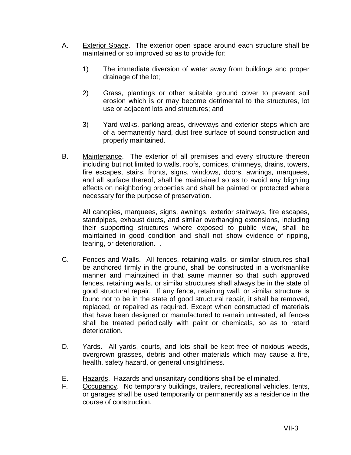- A. Exterior Space. The exterior open space around each structure shall be maintained or so improved so as to provide for:
	- 1) The immediate diversion of water away from buildings and proper drainage of the lot;
	- 2) Grass, plantings or other suitable ground cover to prevent soil erosion which is or may become detrimental to the structures, lot use or adjacent lots and structures; and
	- 3) Yard-walks, parking areas, driveways and exterior steps which are of a permanently hard, dust free surface of sound construction and properly maintained.
- B. Maintenance. The exterior of all premises and every structure thereon including but not limited to walls, roofs, cornices, chimneys, drains, towers, fire escapes, stairs, fronts, signs, windows, doors, awnings, marquees, and all surface thereof, shall be maintained so as to avoid any blighting effects on neighboring properties and shall be painted or protected where necessary for the purpose of preservation.

All canopies, marquees, signs, awnings, exterior stairways, fire escapes, standpipes, exhaust ducts, and similar overhanging extensions, including their supporting structures where exposed to public view, shall be maintained in good condition and shall not show evidence of ripping, tearing, or deterioration. .

- C. Fences and Walls. All fences, retaining walls, or similar structures shall be anchored firmly in the ground, shall be constructed in a workmanlike manner and maintained in that same manner so that such approved fences, retaining walls, or similar structures shall always be in the state of good structural repair. If any fence, retaining wall, or similar structure is found not to be in the state of good structural repair, it shall be removed, replaced, or repaired as required. Except when constructed of materials that have been designed or manufactured to remain untreated, all fences shall be treated periodically with paint or chemicals, so as to retard deterioration.
- D. Yards. All yards, courts, and lots shall be kept free of noxious weeds, overgrown grasses, debris and other materials which may cause a fire, health, safety hazard, or general unsightliness.
- E. Hazards. Hazards and unsanitary conditions shall be eliminated.
- F. Occupancy. No temporary buildings, trailers, recreational vehicles, tents, or garages shall be used temporarily or permanently as a residence in the course of construction.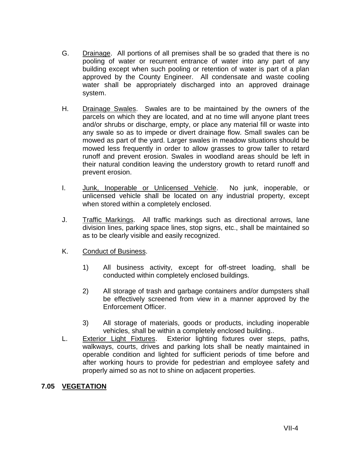- G. Drainage. All portions of all premises shall be so graded that there is no pooling of water or recurrent entrance of water into any part of any building except when such pooling or retention of water is part of a plan approved by the County Engineer. All condensate and waste cooling water shall be appropriately discharged into an approved drainage system.
- H. Drainage Swales. Swales are to be maintained by the owners of the parcels on which they are located, and at no time will anyone plant trees and/or shrubs or discharge, empty, or place any material fill or waste into any swale so as to impede or divert drainage flow. Small swales can be mowed as part of the yard. Larger swales in meadow situations should be mowed less frequently in order to allow grasses to grow taller to retard runoff and prevent erosion. Swales in woodland areas should be left in their natural condition leaving the understory growth to retard runoff and prevent erosion.
- I. Junk, Inoperable or Unlicensed Vehicle. No junk, inoperable, or unlicensed vehicle shall be located on any industrial property, except when stored within a completely enclosed.
- J. Traffic Markings. All traffic markings such as directional arrows, lane division lines, parking space lines, stop signs, etc., shall be maintained so as to be clearly visible and easily recognized.
- K. Conduct of Business.
	- 1) All business activity, except for off-street loading, shall be conducted within completely enclosed buildings.
	- 2) All storage of trash and garbage containers and/or dumpsters shall be effectively screened from view in a manner approved by the Enforcement Officer.
	- 3) All storage of materials, goods or products, including inoperable vehicles, shall be within a completely enclosed building..
- L. Exterior Light Fixtures. Exterior lighting fixtures over steps, paths, walkways, courts, drives and parking lots shall be neatly maintained in operable condition and lighted for sufficient periods of time before and after working hours to provide for pedestrian and employee safety and properly aimed so as not to shine on adjacent properties.

# **7.05 VEGETATION**